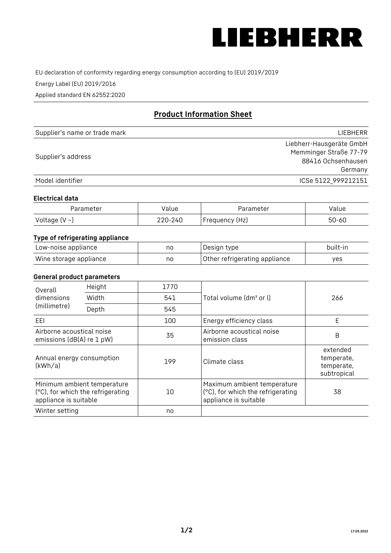

EU declaration of conformity regarding energy consumption according to (EU) 2019/2019

Energy Label (EU) 2019/2016

Applied standard EN 62552:2020

# **Product Information Sheet**

| Supplier's name or trade mark | LIEBHERR                 |
|-------------------------------|--------------------------|
|                               | Liebherr-Hausgeräte GmbH |
| Supplier's address            | Memminger Straße 77-79   |
|                               | 88416 Ochsenhausen       |
|                               | Germany                  |
| Model identifier              | ICSe 5122 999212151      |

## **Electrical data**

| Parameter     | value   | Parameter       | Value |
|---------------|---------|-----------------|-------|
| Voltage (V ~) | 220-240 | 'Frequency (Hz) | 50-60 |

# **Type of refrigerating appliance**

| Low-noise appliance    | no | Design type                   | built-in |
|------------------------|----|-------------------------------|----------|
| Wine storage appliance | no | Other refrigerating appliance | ves      |

## **General product parameters**

| Height<br>Overall                                      |                                                                  | 1770 |                                                                                           |                                                     |
|--------------------------------------------------------|------------------------------------------------------------------|------|-------------------------------------------------------------------------------------------|-----------------------------------------------------|
| dimensions<br>(millimetre)                             | Width                                                            | 541  | Total volume (dm <sup>3</sup> or l)                                                       | 266                                                 |
|                                                        | Depth                                                            | 545  |                                                                                           |                                                     |
| EEL                                                    |                                                                  | 100  | Energy efficiency class                                                                   | E                                                   |
| Airborne acoustical noise<br>emissions (dB(A) re 1 pW) |                                                                  | 35   | Airborne acoustical noise<br>emission class                                               | B                                                   |
| Annual energy consumption<br>(kWh/a)                   |                                                                  | 199  | Climate class                                                                             | extended<br>temperate,<br>temperate,<br>subtropical |
| appliance is suitable                                  | Minimum ambient temperature<br>(°C), for which the refrigerating | 10   | Maximum ambient temperature<br>(°C), for which the refrigerating<br>appliance is suitable | 38                                                  |
| Winter setting                                         |                                                                  | no   |                                                                                           |                                                     |